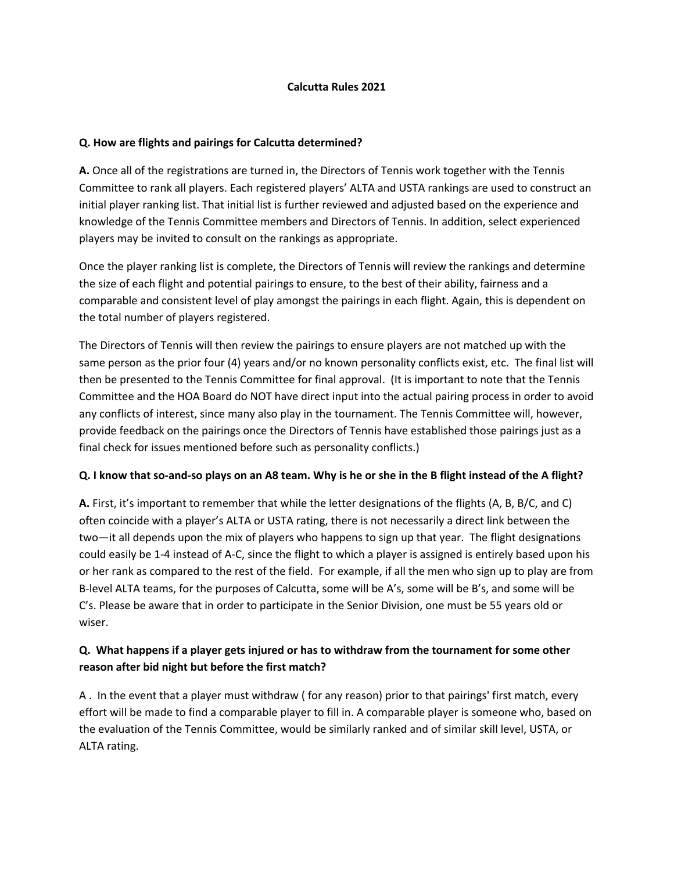### **Calcutta Rules 2021**

### **Q. How are flights and pairings for Calcutta determined?**

**A.** Once all of the registrations are turned in, the Directors of Tennis work together with the Tennis Committee to rank all players. Each registered players' ALTA and USTA rankings are used to construct an initial player ranking list. That initial list is further reviewed and adjusted based on the experience and knowledge of the Tennis Committee members and Directors of Tennis. In addition, select experienced players may be invited to consult on the rankings as appropriate.

Once the player ranking list is complete, the Directors of Tennis will review the rankings and determine the size of each flight and potential pairings to ensure, to the best of their ability, fairness and a comparable and consistent level of play amongst the pairings in each flight. Again, this is dependent on the total number of players registered.

The Directors of Tennis will then review the pairings to ensure players are not matched up with the same person as the prior four (4) years and/or no known personality conflicts exist, etc. The final list will then be presented to the Tennis Committee for final approval. (It is important to note that the Tennis Committee and the HOA Board do NOT have direct input into the actual pairing process in order to avoid any conflicts of interest, since many also play in the tournament. The Tennis Committee will, however, provide feedback on the pairings once the Directors of Tennis have established those pairings just as a final check for issues mentioned before such as personality conflicts.)

### **Q. I know that so-and-so plays on an A8 team. Why is he or she in the B flight instead of the A flight?**

**A.** First, it's important to remember that while the letter designations of the flights (A, B, B/C, and C) often coincide with a player's ALTA or USTA rating, there is not necessarily a direct link between the two—it all depends upon the mix of players who happens to sign up that year. The flight designations could easily be 1-4 instead of A-C, since the flight to which a player is assigned is entirely based upon his or her rank as compared to the rest of the field. For example, if all the men who sign up to play are from B-level ALTA teams, for the purposes of Calcutta, some will be A's, some will be B's, and some will be C's. Please be aware that in order to participate in the Senior Division, one must be 55 years old or wiser.

# **Q. What happens if a player gets injured or has to withdraw from the tournament for some other reason after bid night but before the first match?**

A . In the event that a player must withdraw ( for any reason) prior to that pairings' first match, every effort will be made to find a comparable player to fill in. A comparable player is someone who, based on the evaluation of the Tennis Committee, would be similarly ranked and of similar skill level, USTA, or ALTA rating.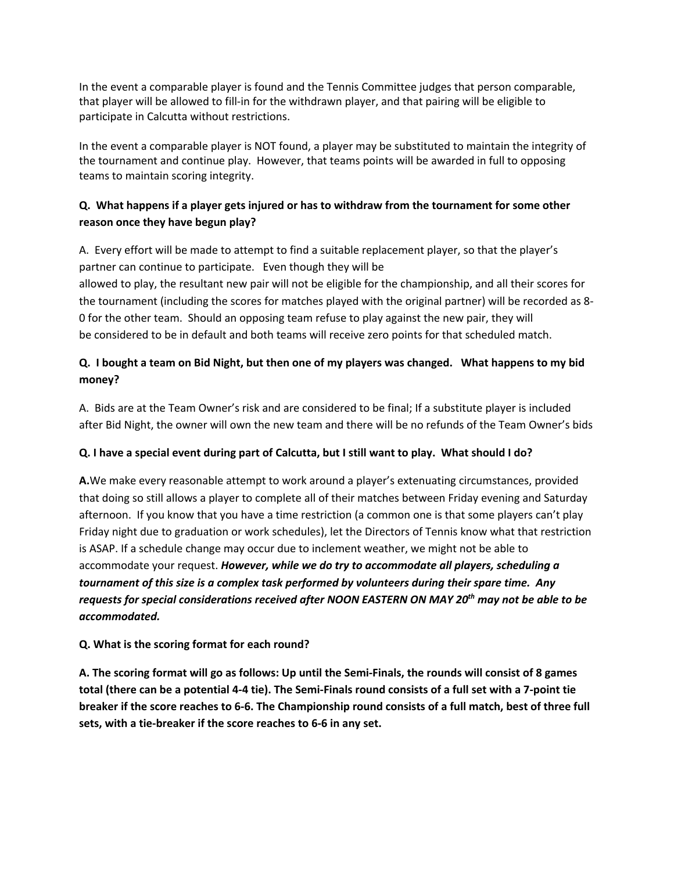In the event a comparable player is found and the Tennis Committee judges that person comparable, that player will be allowed to fill-in for the withdrawn player, and that pairing will be eligible to participate in Calcutta without restrictions.

In the event a comparable player is NOT found, a player may be substituted to maintain the integrity of the tournament and continue play. However, that teams points will be awarded in full to opposing teams to maintain scoring integrity.

# **Q. What happens if a player gets injured or has to withdraw from the tournament for some other reason once they have begun play?**

A. Every effort will be made to attempt to find a suitable replacement player, so that the player's partner can continue to participate. Even though they will be allowed to play, the resultant new pair will not be eligible for the championship, and all their scores for the tournament (including the scores for matches played with the original partner) will be recorded as 8- 0 for the other team. Should an opposing team refuse to play against the new pair, they will be considered to be in default and both teams will receive zero points for that scheduled match.

# **Q. I bought a team on Bid Night, but then one of my players was changed. What happens to my bid money?**

A. Bids are at the Team Owner's risk and are considered to be final; If a substitute player is included after Bid Night, the owner will own the new team and there will be no refunds of the Team Owner's bids

# **Q. I have a special event during part of Calcutta, but I still want to play. What should I do?**

**A.**We make every reasonable attempt to work around a player's extenuating circumstances, provided that doing so still allows a player to complete all of their matches between Friday evening and Saturday afternoon. If you know that you have a time restriction (a common one is that some players can't play Friday night due to graduation or work schedules), let the Directors of Tennis know what that restriction is ASAP. If a schedule change may occur due to inclement weather, we might not be able to accommodate your request. *However, while we do try to accommodate all players, scheduling a tournament of this size is a complex task performed by volunteers during their spare time. Any requests for special considerations received after NOON EASTERN ON MAY 20th may not be able to be accommodated.*

# **Q. What is the scoring format for each round?**

**A. The scoring format will go as follows: Up until the Semi-Finals, the rounds will consist of 8 games total (there can be a potential 4-4 tie). The Semi-Finals round consists of a full set with a 7-point tie breaker if the score reaches to 6-6. The Championship round consists of a full match, best of three full sets, with a tie-breaker if the score reaches to 6-6 in any set.**